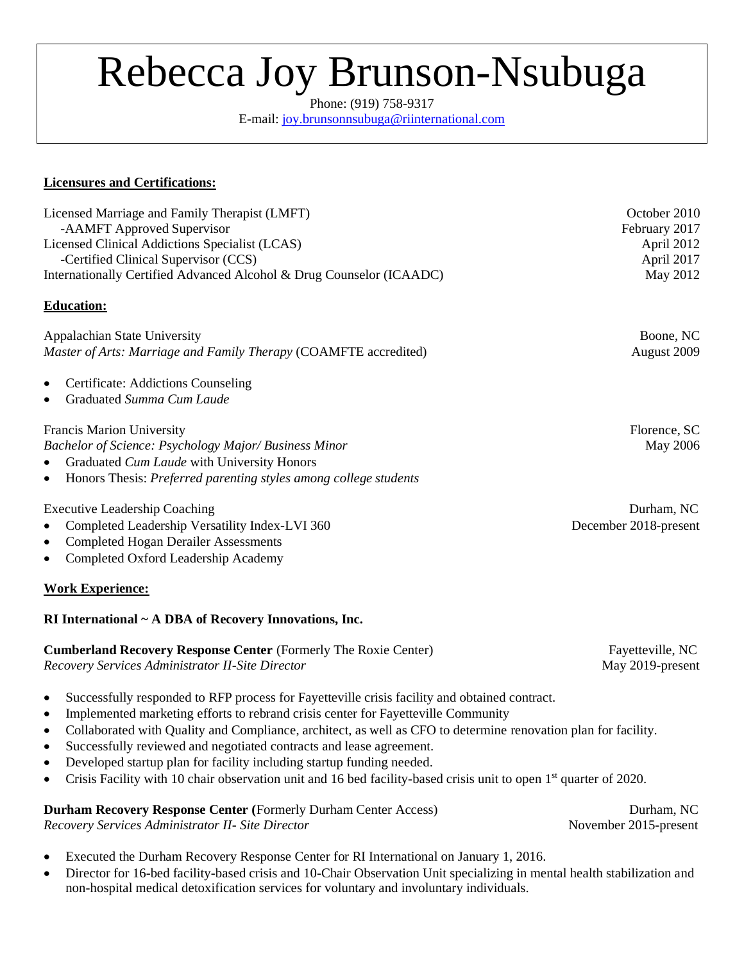# Rebecca Joy Brunson-Nsubuga

Phone: (919) 758-9317 E-mail: [joy.brunsonnsubuga@riinternational.com](mailto:joy.brunsonnsubuga@riinternational.com)

### **Licensures and Certifications:**

| Licensed Marriage and Family Therapist (LMFT)<br>-AAMFT Approved Supervisor                                                 | October 2010                |
|-----------------------------------------------------------------------------------------------------------------------------|-----------------------------|
| Licensed Clinical Addictions Specialist (LCAS)                                                                              | February 2017<br>April 2012 |
| -Certified Clinical Supervisor (CCS)                                                                                        | April 2017                  |
| Internationally Certified Advanced Alcohol & Drug Counselor (ICAADC)                                                        | May 2012                    |
| <b>Education:</b>                                                                                                           |                             |
| Appalachian State University                                                                                                | Boone, NC                   |
| Master of Arts: Marriage and Family Therapy (COAMFTE accredited)                                                            | August 2009                 |
| <b>Certificate: Addictions Counseling</b><br>$\bullet$                                                                      |                             |
| Graduated Summa Cum Laude<br>$\bullet$                                                                                      |                             |
| <b>Francis Marion University</b>                                                                                            | Florence, SC                |
| Bachelor of Science: Psychology Major/Business Minor                                                                        | May 2006                    |
| Graduated Cum Laude with University Honors<br>$\bullet$                                                                     |                             |
| Honors Thesis: Preferred parenting styles among college students<br>$\bullet$                                               |                             |
| <b>Executive Leadership Coaching</b>                                                                                        | Durham, NC                  |
| Completed Leadership Versatility Index-LVI 360<br>$\bullet$                                                                 | December 2018-present       |
| <b>Completed Hogan Derailer Assessments</b><br>$\bullet$                                                                    |                             |
| Completed Oxford Leadership Academy<br>$\bullet$                                                                            |                             |
| <b>Work Experience:</b>                                                                                                     |                             |
| RI International ~ A DBA of Recovery Innovations, Inc.                                                                      |                             |
| <b>Cumberland Recovery Response Center (Formerly The Roxie Center)</b>                                                      | Fayetteville, NC            |
| Recovery Services Administrator II-Site Director                                                                            | May 2019-present            |
| Successfully responded to RFP process for Fayetteville crisis facility and obtained contract.<br>$\bullet$                  |                             |
| Implemented marketing efforts to rebrand crisis center for Fayetteville Community<br>$\bullet$                              |                             |
| Collaborated with Quality and Compliance, architect, as well as CFO to determine renovation plan for facility.<br>$\bullet$ |                             |
| Successfully reviewed and negotiated contracts and lease agreement                                                          |                             |

- Successfully reviewed and negotiated contracts and lease agreement. • Developed startup plan for facility including startup funding needed.
- Crisis Facility with 10 chair observation unit and 16 bed facility-based crisis unit to open 1<sup>st</sup> quarter of 2020.

### **Durham Recovery Response Center (**Formerly Durham Center Access) Durham, NC

*Recovery Services Administrator II- Site Director* November 2015-present

- Executed the Durham Recovery Response Center for RI International on January 1, 2016.
- Director for 16-bed facility-based crisis and 10-Chair Observation Unit specializing in mental health stabilization and non-hospital medical detoxification services for voluntary and involuntary individuals.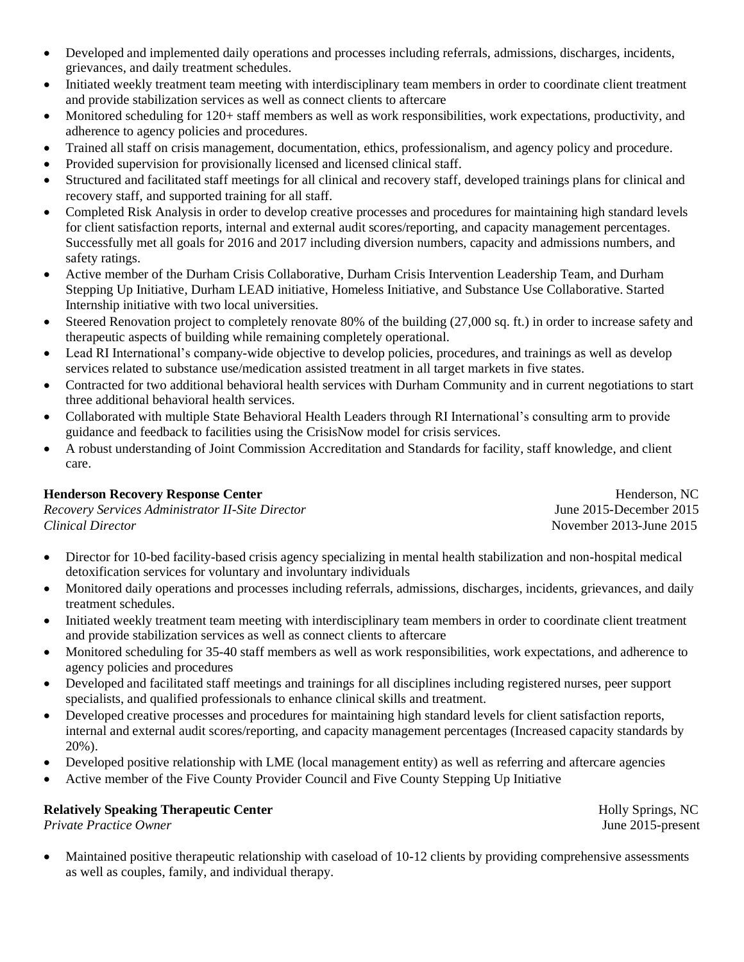- Developed and implemented daily operations and processes including referrals, admissions, discharges, incidents, grievances, and daily treatment schedules.
- Initiated weekly treatment team meeting with interdisciplinary team members in order to coordinate client treatment and provide stabilization services as well as connect clients to aftercare
- Monitored scheduling for 120+ staff members as well as work responsibilities, work expectations, productivity, and adherence to agency policies and procedures.
- Trained all staff on crisis management, documentation, ethics, professionalism, and agency policy and procedure.
- Provided supervision for provisionally licensed and licensed clinical staff.
- Structured and facilitated staff meetings for all clinical and recovery staff, developed trainings plans for clinical and recovery staff, and supported training for all staff.
- Completed Risk Analysis in order to develop creative processes and procedures for maintaining high standard levels for client satisfaction reports, internal and external audit scores/reporting, and capacity management percentages. Successfully met all goals for 2016 and 2017 including diversion numbers, capacity and admissions numbers, and safety ratings.
- Active member of the Durham Crisis Collaborative, Durham Crisis Intervention Leadership Team, and Durham Stepping Up Initiative, Durham LEAD initiative, Homeless Initiative, and Substance Use Collaborative. Started Internship initiative with two local universities.
- Steered Renovation project to completely renovate 80% of the building (27,000 sq. ft.) in order to increase safety and therapeutic aspects of building while remaining completely operational.
- Lead RI International's company-wide objective to develop policies, procedures, and trainings as well as develop services related to substance use/medication assisted treatment in all target markets in five states.
- Contracted for two additional behavioral health services with Durham Community and in current negotiations to start three additional behavioral health services.
- Collaborated with multiple State Behavioral Health Leaders through RI International's consulting arm to provide guidance and feedback to facilities using the CrisisNow model for crisis services.
- A robust understanding of Joint Commission Accreditation and Standards for facility, staff knowledge, and client care.

**Recovery Services Administrator II-Site Director** *Clinical Director* November 2013-June 2015

**Henderson Recovery Response Center Henderson, NC**<br> *Recovery Services Administrator II-Site Director Henderson, NC*<br> *Henderson, NC* 

- Director for 10-bed facility-based crisis agency specializing in mental health stabilization and non-hospital medical detoxification services for voluntary and involuntary individuals
- Monitored daily operations and processes including referrals, admissions, discharges, incidents, grievances, and daily treatment schedules.
- Initiated weekly treatment team meeting with interdisciplinary team members in order to coordinate client treatment and provide stabilization services as well as connect clients to aftercare
- Monitored scheduling for 35-40 staff members as well as work responsibilities, work expectations, and adherence to agency policies and procedures
- Developed and facilitated staff meetings and trainings for all disciplines including registered nurses, peer support specialists, and qualified professionals to enhance clinical skills and treatment.
- Developed creative processes and procedures for maintaining high standard levels for client satisfaction reports, internal and external audit scores/reporting, and capacity management percentages (Increased capacity standards by 20%).
- Developed positive relationship with LME (local management entity) as well as referring and aftercare agencies
- Active member of the Five County Provider Council and Five County Stepping Up Initiative

### **Relatively Speaking Therapeutic Center All and Speaking Therapeutic Center Holly Springs, NC**

*Private Practice Owner* June 2015-present

• Maintained positive therapeutic relationship with caseload of 10-12 clients by providing comprehensive assessments as well as couples, family, and individual therapy.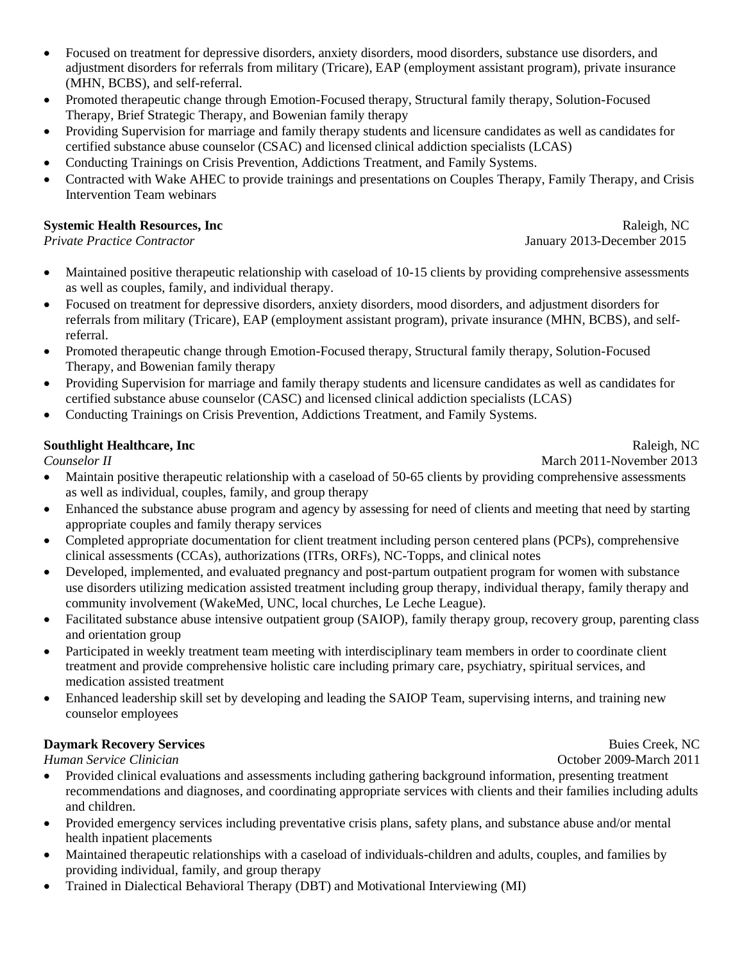- Focused on treatment for depressive disorders, anxiety disorders, mood disorders, substance use disorders, and adjustment disorders for referrals from military (Tricare), EAP (employment assistant program), private insurance (MHN, BCBS), and self-referral.
- Promoted therapeutic change through Emotion-Focused therapy, Structural family therapy, Solution-Focused Therapy, Brief Strategic Therapy, and Bowenian family therapy
- Providing Supervision for marriage and family therapy students and licensure candidates as well as candidates for certified substance abuse counselor (CSAC) and licensed clinical addiction specialists (LCAS)
- Conducting Trainings on Crisis Prevention, Addictions Treatment, and Family Systems.
- Contracted with Wake AHEC to provide trainings and presentations on Couples Therapy, Family Therapy, and Crisis Intervention Team webinars

### **Systemic Health Resources, Inc** Raleigh, NC Raleigh, NC

*Private Practice Contractor* January 2013-December 2015

- Maintained positive therapeutic relationship with caseload of 10-15 clients by providing comprehensive assessments as well as couples, family, and individual therapy.
- Focused on treatment for depressive disorders, anxiety disorders, mood disorders, and adjustment disorders for referrals from military (Tricare), EAP (employment assistant program), private insurance (MHN, BCBS), and selfreferral.
- Promoted therapeutic change through Emotion-Focused therapy, Structural family therapy, Solution-Focused Therapy, and Bowenian family therapy
- Providing Supervision for marriage and family therapy students and licensure candidates as well as candidates for certified substance abuse counselor (CASC) and licensed clinical addiction specialists (LCAS)
- Conducting Trainings on Crisis Prevention, Addictions Treatment, and Family Systems.

### **Southlight Healthcare, Inc Raleigh, NC Raleigh, NC Raleigh, NC Raleigh, NC**

**Counselor II** March 2011-November 2013

- Maintain positive therapeutic relationship with a caseload of 50-65 clients by providing comprehensive assessments as well as individual, couples, family, and group therapy
- Enhanced the substance abuse program and agency by assessing for need of clients and meeting that need by starting appropriate couples and family therapy services
- Completed appropriate documentation for client treatment including person centered plans (PCPs), comprehensive clinical assessments (CCAs), authorizations (ITRs, ORFs), NC-Topps, and clinical notes
- Developed, implemented, and evaluated pregnancy and post-partum outpatient program for women with substance use disorders utilizing medication assisted treatment including group therapy, individual therapy, family therapy and community involvement (WakeMed, UNC, local churches, Le Leche League).
- Facilitated substance abuse intensive outpatient group (SAIOP), family therapy group, recovery group, parenting class and orientation group
- Participated in weekly treatment team meeting with interdisciplinary team members in order to coordinate client treatment and provide comprehensive holistic care including primary care, psychiatry, spiritual services, and medication assisted treatment
- Enhanced leadership skill set by developing and leading the SAIOP Team, supervising interns, and training new counselor employees

### **Daymark Recovery Services** Buies Creek, NC

*Human Service Clinician*  $\overline{a}$  2011

- Provided clinical evaluations and assessments including gathering background information, presenting treatment recommendations and diagnoses, and coordinating appropriate services with clients and their families including adults and children.
- Provided emergency services including preventative crisis plans, safety plans, and substance abuse and/or mental health inpatient placements
- Maintained therapeutic relationships with a caseload of individuals-children and adults, couples, and families by providing individual, family, and group therapy
- Trained in Dialectical Behavioral Therapy (DBT) and Motivational Interviewing (MI)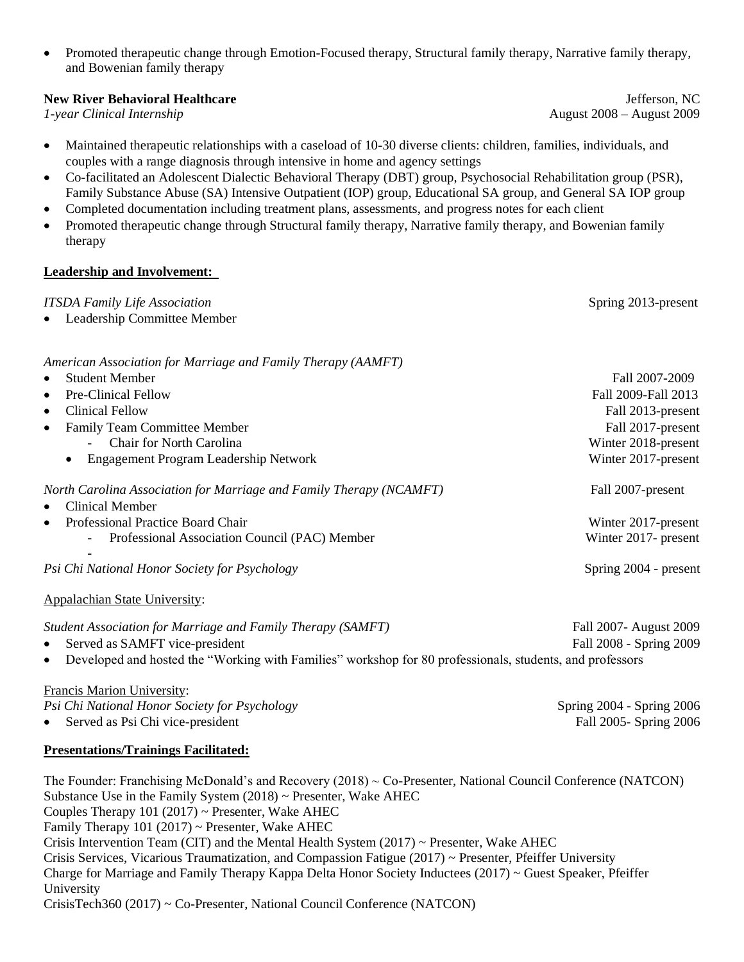• Promoted therapeutic change through Emotion-Focused therapy, Structural family therapy, Narrative family therapy, and Bowenian family therapy

### **New River Behavioral Healthcare Jefferson, NC Jefferson, NC**

- Maintained therapeutic relationships with a caseload of 10-30 diverse clients: children, families, individuals, and couples with a range diagnosis through intensive in home and agency settings
- Co-facilitated an Adolescent Dialectic Behavioral Therapy (DBT) group, Psychosocial Rehabilitation group (PSR), Family Substance Abuse (SA) Intensive Outpatient (IOP) group, Educational SA group, and General SA IOP group
- Completed documentation including treatment plans, assessments, and progress notes for each client
- Promoted therapeutic change through Structural family therapy, Narrative family therapy, and Bowenian family therapy

### **Leadership and Involvement:**

| <b>ITSDA Family Life Association</b>                                | Spring 2013-present   |
|---------------------------------------------------------------------|-----------------------|
| Leadership Committee Member<br>$\bullet$                            |                       |
| American Association for Marriage and Family Therapy (AAMFT)        |                       |
| <b>Student Member</b>                                               | Fall 2007-2009        |
| <b>Pre-Clinical Fellow</b><br>$\bullet$                             | Fall 2009-Fall 2013   |
| <b>Clinical Fellow</b><br>$\bullet$                                 | Fall 2013-present     |
| <b>Family Team Committee Member</b><br>$\bullet$                    | Fall 2017-present     |
| Chair for North Carolina                                            | Winter 2018-present   |
| Engagement Program Leadership Network                               | Winter 2017-present   |
| North Carolina Association for Marriage and Family Therapy (NCAMFT) | Fall 2007-present     |
| <b>Clinical Member</b><br>$\bullet$                                 |                       |
| Professional Practice Board Chair<br>$\bullet$                      | Winter 2017-present   |
| Professional Association Council (PAC) Member                       | Winter 2017- present  |
| Psi Chi National Honor Society for Psychology                       | Spring 2004 - present |
| <b>Appalachian State University:</b>                                |                       |
|                                                                     |                       |

- *Student Association for Marriage and Family Therapy (SAMFT)* Fall 2007- August 2009 • Served as SAMFT vice-president Fall 2008 - Spring 2009
- Developed and hosted the "Working with Families" workshop for 80 professionals, students, and professors

## Francis Marion University:

*Psi Chi National Honor Society for Psychology* Spring 2004 - Spring 2006

• Served as Psi Chi vice-president Fall 2005- Spring 2006

# **Presentations/Trainings Facilitated:**

The Founder: Franchising McDonald's and Recovery (2018) ~ Co-Presenter, National Council Conference (NATCON) Substance Use in the Family System (2018) ~ Presenter, Wake AHEC Couples Therapy  $101 (2017)$  ~ Presenter, Wake AHEC Family Therapy  $101 (2017)$   $\sim$  Presenter, Wake AHEC Crisis Intervention Team (CIT) and the Mental Health System  $(2017) \sim$  Presenter, Wake AHEC Crisis Services, Vicarious Traumatization, and Compassion Fatigue (2017) ~ Presenter, Pfeiffer University Charge for Marriage and Family Therapy Kappa Delta Honor Society Inductees (2017) ~ Guest Speaker, Pfeiffer University

CrisisTech360 (2017) ~ Co-Presenter, National Council Conference (NATCON)

*1-year Clinical Internship*  $\overline{a}$  August 2008 – August 2009